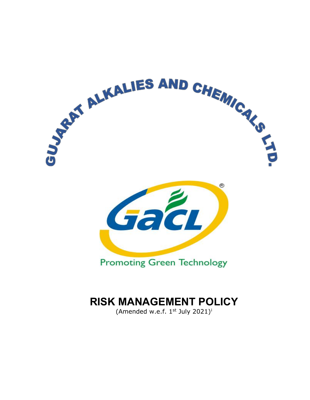

# **RISK MANAGEMENT POLICY**

(Amended w.e.f. 1st July 2021)<sup>[i](#page-6-0)</sup>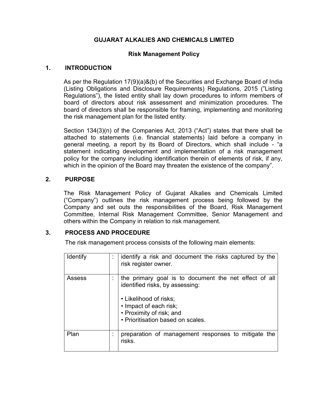# **GUJARAT ALKALIES AND CHEMICALS LIMITED**

## **Risk Management Policy**

#### **1. INTRODUCTION**

As per the Regulation 17(9)(a)&(b) of the Securities and Exchange Board of India (Listing Obligations and Disclosure Requirements) Regulations, 2015 ("Listing Regulations"), the listed entity shall lay down procedures to inform members of board of directors about risk assessment and minimization procedures. The board of directors shall be responsible for framing, implementing and monitoring the risk management plan for the listed entity.

Section 134(3)(n) of the Companies Act, 2013 ("Act") states that there shall be attached to statements (i.e. financial statements) laid before a company in general meeting, a report by its Board of Directors, which shall include - "a statement indicating development and implementation of a risk management policy for the company including identification therein of elements of risk, if any, which in the opinion of the Board may threaten the existence of the company".

## **2. PURPOSE**

The Risk Management Policy of Gujarat Alkalies and Chemicals Limited ("Company") outlines the risk management process being followed by the Company and set outs the responsibilities of the Board, Risk Management Committee, Internal Risk Management Committee, Senior Management and others within the Company in relation to risk management.

## **3. PROCESS AND PROCEDURE**

The risk management process consists of the following main elements:

| <b>Identify</b> | identify a risk and document the risks captured by the<br>risk register owner.                                                                                                                                |
|-----------------|---------------------------------------------------------------------------------------------------------------------------------------------------------------------------------------------------------------|
| Assess          | the primary goal is to document the net effect of all<br>identified risks, by assessing:<br>• Likelihood of risks;<br>• Impact of each risk;<br>• Proximity of risk; and<br>• Prioritisation based on scales. |
| Plan            | preparation of management responses to mitigate the<br>risks.                                                                                                                                                 |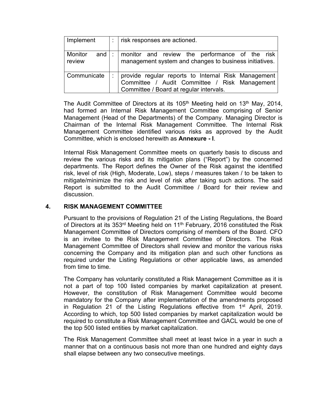| Implement                     | $\therefore$ risk responses are actioned.                                                                                                       |
|-------------------------------|-------------------------------------------------------------------------------------------------------------------------------------------------|
| Monitor<br>and $ :$<br>review | monitor and review the performance of the risk<br>management system and changes to business initiatives.                                        |
| l Communicate                 | provide regular reports to Internal Risk Management<br>Committee / Audit Committee / Risk Management<br>Committee / Board at regular intervals. |

The Audit Committee of Directors at its  $105<sup>th</sup>$  Meeting held on  $13<sup>th</sup>$  May, 2014, had formed an Internal Risk Management Committee comprising of Senior Management (Head of the Departments) of the Company. Managing Director is Chairman of the Internal Risk Management Committee. The Internal Risk Management Committee identified various risks as approved by the Audit Committee, which is enclosed herewith as **Annexure - I**.

Internal Risk Management Committee meets on quarterly basis to discuss and review the various risks and its mitigation plans ("Report") by the concerned departments. The Report defines the Owner of the Risk against the identified risk, level of risk (High, Moderate, Low), steps / measures taken / to be taken to mitigate/minimize the risk and level of risk after taking such actions. The said Report is submitted to the Audit Committee / Board for their review and discussion.

## **4. RISK MANAGEMENT COMMITTEE**

Pursuant to the provisions of Regulation 21 of the Listing Regulations, the Board of Directors at its 353<sup>rd</sup> Meeting held on 11<sup>th</sup> February, 2016 constituted the Risk Management Committee of Directors comprising of members of the Board. CFO is an invitee to the Risk Management Committee of Directors. The Risk Management Committee of Directors shall review and monitor the various risks concerning the Company and its mitigation plan and such other functions as required under the Listing Regulations or other applicable laws, as amended from time to time.

The Company has voluntarily constituted a Risk Management Committee as it is not a part of top 100 listed companies by market capitalization at present. However, the constitution of Risk Management Committee would become mandatory for the Company after implementation of the amendments proposed in Regulation 21 of the Listing Regulations effective from 1<sup>st</sup> April, 2019. According to which, top 500 listed companies by market capitalization would be required to constitute a Risk Management Committee and GACL would be one of the top 500 listed entities by market capitalization.

The Risk Management Committee shall meet at least twice in a year in such a manner that on a continuous basis not more than one hundred and eighty days shall elapse between any two consecutive meetings.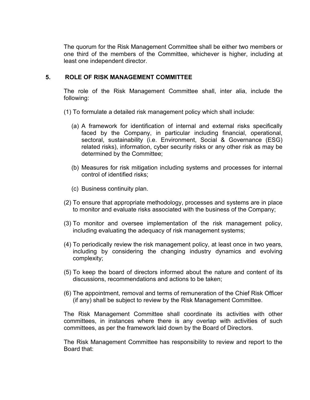The quorum for the Risk Management Committee shall be either two members or one third of the members of the Committee, whichever is higher, including at least one independent director.

## **5. ROLE OF RISK MANAGEMENT COMMITTEE**

The role of the Risk Management Committee shall, inter alia, include the following:

- (1) To formulate a detailed risk management policy which shall include:
	- (a) A framework for identification of internal and external risks specifically faced by the Company, in particular including financial, operational, sectoral, sustainability (i.e. Environment, Social & Governance (ESG) related risks), information, cyber security risks or any other risk as may be determined by the Committee;
	- (b) Measures for risk mitigation including systems and processes for internal control of identified risks;
	- (c) Business continuity plan.
- (2) To ensure that appropriate methodology, processes and systems are in place to monitor and evaluate risks associated with the business of the Company;
- (3) To monitor and oversee implementation of the risk management policy, including evaluating the adequacy of risk management systems;
- (4) To periodically review the risk management policy, at least once in two years, including by considering the changing industry dynamics and evolving complexity;
- (5) To keep the board of directors informed about the nature and content of its discussions, recommendations and actions to be taken;
- (6) The appointment, removal and terms of remuneration of the Chief Risk Officer (if any) shall be subject to review by the Risk Management Committee.

The Risk Management Committee shall coordinate its activities with other committees, in instances where there is any overlap with activities of such committees, as per the framework laid down by the Board of Directors.

The Risk Management Committee has responsibility to review and report to the Board that: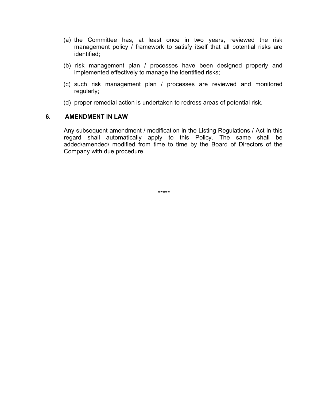- (a) the Committee has, at least once in two years, reviewed the risk management policy / framework to satisfy itself that all potential risks are identified;
- (b) risk management plan / processes have been designed properly and implemented effectively to manage the identified risks;
- (c) such risk management plan / processes are reviewed and monitored regularly;
- (d) proper remedial action is undertaken to redress areas of potential risk.

## **6. AMENDMENT IN LAW**

Any subsequent amendment / modification in the Listing Regulations / Act in this regard shall automatically apply to this Policy. The same shall be added/amended/ modified from time to time by the Board of Directors of the Company with due procedure.

\*\*\*\*\*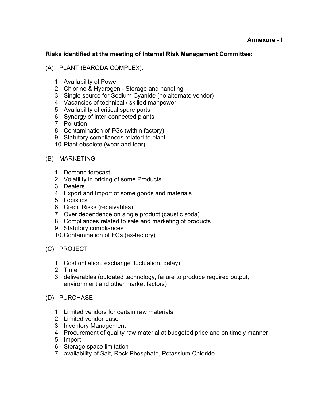# **Risks identified at the meeting of Internal Risk Management Committee:**

# (A) PLANT (BARODA COMPLEX):

- 1. Availability of Power
- 2. Chlorine & Hydrogen Storage and handling
- 3. Single source for Sodium Cyanide (no alternate vendor)
- 4. Vacancies of technical / skilled manpower
- 5. Availability of critical spare parts
- 6. Synergy of inter-connected plants
- 7. Pollution
- 8. Contamination of FGs (within factory)
- 9. Statutory compliances related to plant
- 10.Plant obsolete (wear and tear)

# (B) MARKETING

- 1. Demand forecast
- 2. Volatility in pricing of some Products
- 3. Dealers
- 4. Export and Import of some goods and materials
- 5. Logistics
- 6. Credit Risks (receivables)
- 7. Over dependence on single product (caustic soda)
- 8. Compliances related to sale and marketing of products
- 9. Statutory compliances
- 10.Contamination of FGs (ex-factory)
- (C) PROJECT
	- 1. Cost (inflation, exchange fluctuation, delay)
	- 2. Time
	- 3. deliverables (outdated technology, failure to produce required output, environment and other market factors)
- (D) PURCHASE
	- 1. Limited vendors for certain raw materials
	- 2. Limited vendor base
	- 3. Inventory Management
	- 4. Procurement of quality raw material at budgeted price and on timely manner
	- 5. Import
	- 6. Storage space limitation
	- 7. availability of Salt, Rock Phosphate, Potassium Chloride